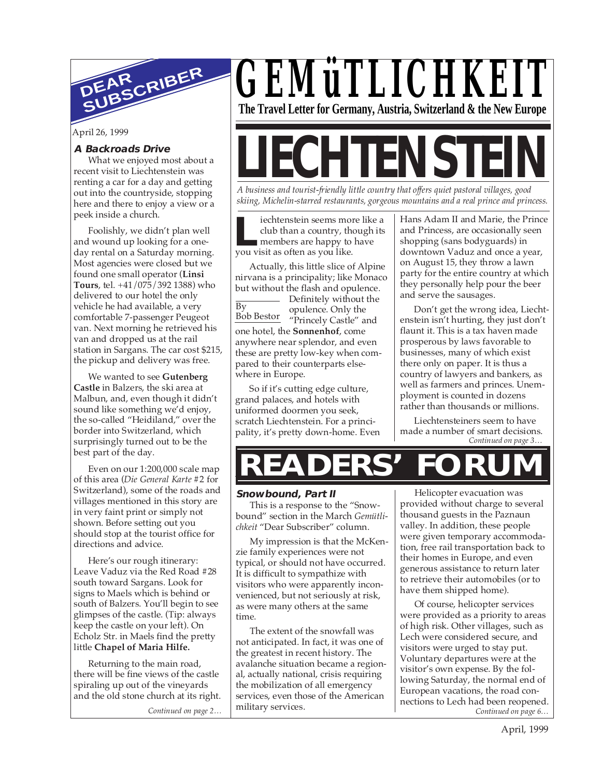

April 26, 1999

#### **A Backroads Drive**

What we enjoyed most about a recent visit to Liechtenstein was renting a car for a day and getting out into the countryside, stopping here and there to enjoy a view or a peek inside a church.

Foolishly, we didn't plan well and wound up looking for a oneday rental on a Saturday morning. Most agencies were closed but we found one small operator (**Linsi Tours**, tel. +41/075/392 1388) who delivered to our hotel the only vehicle he had available, a very comfortable 7-passenger Peugeot van. Next morning he retrieved his van and dropped us at the rail station in Sargans. The car cost \$215, the pickup and delivery was free.

We wanted to see **Gutenberg Castle** in Balzers, the ski area at Malbun, and, even though it didn't sound like something we'd enjoy, the so-called "Heidiland," over the border into Switzerland, which surprisingly turned out to be the best part of the day.

Even on our 1:200,000 scale map of this area (*Die General Karte* #2 for Switzerland), some of the roads and villages mentioned in this story are in very faint print or simply not shown. Before setting out you should stop at the tourist office for directions and advice.

Here's our rough itinerary: Leave Vaduz via the Red Road #28 south toward Sargans. Look for signs to Maels which is behind or south of Balzers. You'll begin to see glimpses of the castle. (Tip: always keep the castle on your left). On Echolz Str. in Maels find the pretty little **Chapel of Maria Hilfe.**

Returning to the main road, there will be fine views of the castle spiraling up out of the vineyards and the old stone church at its right.

*Continued on page 2…*

*GEMüTLICHKEIT* **The Travel Letter for Germany, Austria, Switzerland & the New Europe**

# **LIECHTENSTEI**

*A business and tourist-friendly little country that offers quiet pastoral villages, good skiing, Michelin-starred restaurants, gorgeous mountains and a real prince and princess.*

iechtenstein seems more like a club than a country, though its members are happy to have **Let us a country, the members are happy to you visit as often as you like.** 

Actually, this little slice of Alpine nirvana is a principality; like Monaco but without the flash and opulence.

Definitely without the opulence. Only the Bob Bestor "Princely Castle" and one hotel, the **Sonnenhof**, come anywhere near splendor, and even these are pretty low-key when compared to their counterparts elsewhere in Europe.  $\overline{Bv}$ 

So if it's cutting edge culture, grand palaces, and hotels with uniformed doormen you seek, scratch Liechtenstein. For a principality, it's pretty down-home. Even Hans Adam II and Marie, the Prince and Princess, are occasionally seen shopping (sans bodyguards) in downtown Vaduz and once a year, on August 15, they throw a lawn party for the entire country at which they personally help pour the beer and serve the sausages.

Don't get the wrong idea, Liechtenstein isn't hurting, they just don't flaunt it. This is a tax haven made prosperous by laws favorable to businesses, many of which exist there only on paper. It is thus a country of lawyers and bankers, as well as farmers and princes. Unemployment is counted in dozens rather than thousands or millions.

*Continued on page 3…* Liechtensteiners seem to have made a number of smart decisions.

## **READERS' FORUM**

#### **Snowbound, Part II**

This is a response to the "Snowbound" section in the March *Gemütlichkeit* "Dear Subscriber" column.

My impression is that the McKenzie family experiences were not typical, or should not have occurred. It is difficult to sympathize with visitors who were apparently inconvenienced, but not seriously at risk, as were many others at the same time.

The extent of the snowfall was not anticipated. In fact, it was one of the greatest in recent history. The avalanche situation became a regional, actually national, crisis requiring the mobilization of all emergency services, even those of the American military services.

Helicopter evacuation was provided without charge to several thousand guests in the Paznaun valley. In addition, these people were given temporary accommodation, free rail transportation back to their homes in Europe, and even generous assistance to return later to retrieve their automobiles (or to have them shipped home).

*Continued on page 6…* Of course, helicopter services were provided as a priority to areas of high risk. Other villages, such as Lech were considered secure, and visitors were urged to stay put. Voluntary departures were at the visitor's own expense. By the following Saturday, the normal end of European vacations, the road connections to Lech had been reopened.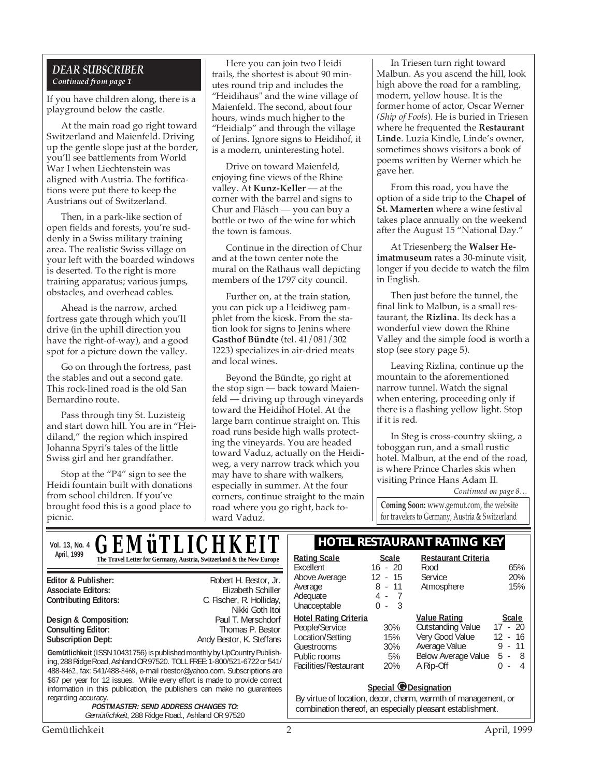#### *DEAR SUBSCRIBER Continued from page 1*

If you have children along, there is a playground below the castle.

At the main road go right toward Switzerland and Maienfeld. Driving up the gentle slope just at the border, you'll see battlements from World War I when Liechtenstein was aligned with Austria. The fortifications were put there to keep the Austrians out of Switzerland.

Then, in a park-like section of open fields and forests, you're suddenly in a Swiss military training area. The realistic Swiss village on your left with the boarded windows is deserted. To the right is more training apparatus; various jumps, obstacles, and overhead cables.

Ahead is the narrow, arched fortress gate through which you'll drive (in the uphill direction you have the right-of-way), and a good spot for a picture down the valley.

Go on through the fortress, past the stables and out a second gate. This rock-lined road is the old San Bernardino route.

Pass through tiny St. Luzisteig and start down hill. You are in "Heidiland," the region which inspired Johanna Spyri's tales of the little Swiss girl and her grandfather.

Stop at the "P4" sign to see the Heidi fountain built with donations from school children. If you've brought food this is a good place to picnic.

Here you can join two Heidi trails, the shortest is about 90 minutes round trip and includes the "Heidihaus" and the wine village of Maienfeld. The second, about four hours, winds much higher to the "Heidialp" and through the village of Jenins. Ignore signs to Heidihof, it is a modern, uninteresting hotel.

Drive on toward Maienfeld, enjoying fine views of the Rhine valley. At **Kunz-Keller** — at the corner with the barrel and signs to Chur and Fläsch — you can buy a bottle or two of the wine for which the town is famous.

Continue in the direction of Chur and at the town center note the mural on the Rathaus wall depicting members of the 1797 city council.

Further on, at the train station, you can pick up a Heidiweg pamphlet from the kiosk. From the station look for signs to Jenins where **Gasthof Bündte** (tel. 41/081/302 1223) specializes in air-dried meats and local wines.

Beyond the Bündte, go right at the stop sign — back toward Maienfeld — driving up through vineyards toward the Heidihof Hotel. At the large barn continue straight on. This road runs beside high walls protecting the vineyards. You are headed toward Vaduz, actually on the Heidiweg, a very narrow track which you may have to share with walkers, especially in summer. At the four corners, continue straight to the main road where you go right, back toward Vaduz.

In Triesen turn right toward Malbun. As you ascend the hill, look high above the road for a rambling, modern, yellow house. It is the former home of actor, Oscar Werner *(Ship of Fools*). He is buried in Triesen where he frequented the **Restaurant Linde**. Luzia Kindle, Linde's owner, sometimes shows visitors a book of poems written by Werner which he gave her.

From this road, you have the option of a side trip to the **Chapel of St. Mamerten** where a wine festival takes place annually on the weekend after the August 15 "National Day."

At Triesenberg the **Walser Heimatmuseum** rates a 30-minute visit, longer if you decide to watch the film in English.

Then just before the tunnel, the final link to Malbun, is a small restaurant, the **Rizlina**. Its deck has a wonderful view down the Rhine Valley and the simple food is worth a stop (see story page 5).

Leaving Rizlina, continue up the mountain to the aforementioned narrow tunnel. Watch the signal when entering, proceeding only if there is a flashing yellow light. Stop if it is red.

In Steg is cross-country skiing, a toboggan run, and a small rustic hotel. Malbun, at the end of the road, is where Prince Charles skis when visiting Prince Hans Adam II.

*Continued on page 8…*

**Coming Soon:** www.gemut.com, the website for travelers to Germany, Austria & Switzerland

Gemütlichkeit 2 April, 1999 **Gemütlichkeit** (ISSN 10431756) is published monthly by UpCountry Publishing, 288 Ridge Road, Ashland OR 97520. TOLL FREE: 1-800/521-6722 or 541/ 488-8462, fax: 541/488-8468, e-mail rbestor@yahoo.com. Subscriptions are \$67 per year for 12 issues. While every effort is made to provide correct information in this publication, the publishers can make no guarantees regarding accuracy. **POSTMASTER: SEND ADDRESS CHANGES TO:** Gemütlichkeit, 288 Ridge Road., Ashland OR 97520 **Editor & Publisher:** Robert H. Bestor, Jr. **Associate Editors:** Elizabeth Schiller **Contributing Editors:** C. Fischer, R. Holliday, Nikki Goth Itoi<br>Paul T. Merschdorf **Design & Composition:** Paul T. Merschdorf **Consulting Editor:** Paul T. Merschdorf Consulting Editor: **Consulting Editor: Subscription Dept:** Andy Bestor, K. Steffans **Vol. 13, No. 4 <b>CEMITI ICHKEIT HOTEL RESTAURANT RATING KEY** April, 1999<br> **The Travel Letter for Germany, Austria, Switzerland & the New Europe** | <u>Rating Scale</u> Scale Excellent 16 - 20<br>Above Average 12 - 15 Above Average Average 8 - 11 Adequate 4 - 7<br>
Unacceptable 0 - 3 Unacceptable **Hotel Rating Criteria** People/Service 30%<br>
Location/Setting 15% Location/Setting 15%<br>Guestrooms 30% **Guestrooms** Public rooms 5%<br>Facilities/Restaurant 20% Facilities/Restaurant **Restaurant Criteria** Food 65%<br>Service 20% Service 20%<br>Atmosphere 15% Atmosphere **<u>Value Rating</u>**<br> **Cutstanding Value** 17 - 20 Outstanding Value Very Good Value 12 - 16<br>Average Value 9 - 11 Average Value 9 - 11 Below Average Value A Rip-Off 0 - 4 *GEMüTLICHKEIT* **Special @Designation** By virtue of location, decor, charm, warmth of management, or combination thereof, an especially pleasant establishment.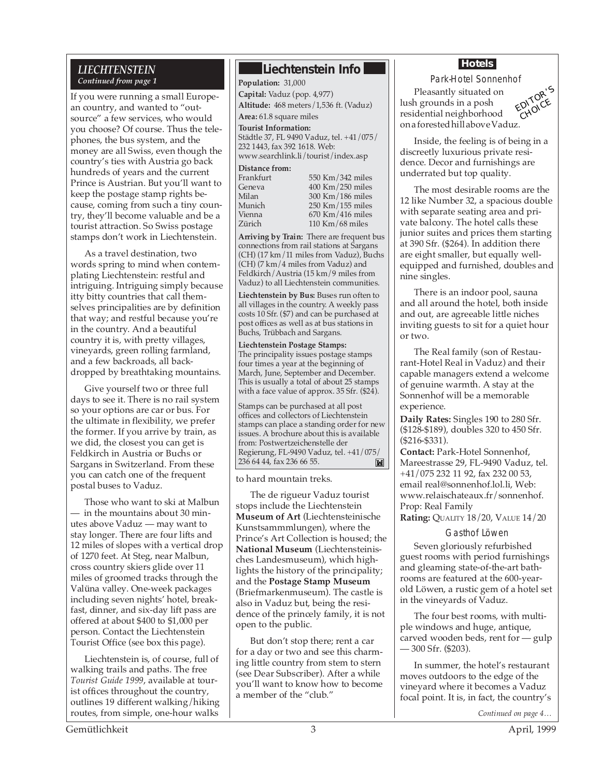#### *LIECHTENSTEIN Continued from page 1*

If you were running a small European country, and wanted to "outsource" a few services, who would you choose? Of course. Thus the telephones, the bus system, and the money are all Swiss, even though the country's ties with Austria go back hundreds of years and the current Prince is Austrian. But you'll want to keep the postage stamp rights because, coming from such a tiny country, they'll become valuable and be a tourist attraction. So Swiss postage stamps don't work in Liechtenstein.

As a travel destination, two words spring to mind when contemplating Liechtenstein: restful and intriguing. Intriguing simply because itty bitty countries that call themselves principalities are by definition that way; and restful because you're in the country. And a beautiful country it is, with pretty villages, vineyards, green rolling farmland, and a few backroads, all backdropped by breathtaking mountains.

Give yourself two or three full days to see it. There is no rail system so your options are car or bus. For the ultimate in flexibility, we prefer the former. If you arrive by train, as we did, the closest you can get is Feldkirch in Austria or Buchs or Sargans in Switzerland. From these you can catch one of the frequent postal buses to Vaduz.

Those who want to ski at Malbun — in the mountains about 30 minutes above Vaduz — may want to stay longer. There are four lifts and 12 miles of slopes with a vertical drop of 1270 feet. At Steg, near Malbun, cross country skiers glide over 11 miles of groomed tracks through the Valüna valley. One-week packages including seven nights' hotel, breakfast, dinner, and six-day lift pass are offered at about \$400 to \$1,000 per person. Contact the Liechtenstein Tourist Office (see box this page).

Liechtenstein is, of course, full of walking trails and paths. The free *Tourist Guide 1999*, available at tourist offices throughout the country, outlines 19 different walking/hiking routes, from simple, one-hour walks

#### **Liechtenstein Info**

**Population:** 31,000 **Capital:** Vaduz (pop. 4,977) **Altitude:** 468 meters/1,536 ft. (Vaduz) **Area:** 61.8 square miles **Tourist Information:**

Städtle 37, FL 9490 Vaduz, tel. +41/075/ 232 1443, fax 392 1618. Web: www.searchlink.li/tourist/index.asp

**Distance from:**

| 1 I di ini ui t |
|-----------------|
| Geneva          |
| Milan           |
| Munich          |
| Vienna          |
| Zürich          |
|                 |

 $550$  Km/342 miles 400 Km/250 miles 300 Km/186 miles 250 Km/155 miles  $670$  Km/416 miles  $110$  Km/68 miles

**Arriving by Train:** There are frequent bus connections from rail stations at Sargans (CH) (17 km/11 miles from Vaduz), Buchs (CH) (7 km/4 miles from Vaduz) and Feldkirch/Austria (15 km/9 miles from Vaduz) to all Liechtenstein communities.

**Liechtenstein by Bus:** Buses run often to all villages in the country. A weekly pass costs 10 Sfr. (\$7) and can be purchased at post offices as well as at bus stations in Buchs, Trübbach and Sargans.

**Liechtenstein Postage Stamps:** The principality issues postage stamps four times a year at the beginning of March, June, September and December. This is usually a total of about 25 stamps with a face value of approx. 35 Sfr. (\$24).

Stamps can be purchased at all post offices and collectors of Liechtenstein stamps can place a standing order for new issues. A brochure about this is available from: Postwertzeichenstelle der Regierung, FL-9490 Vaduz, tel. +41/075/ 236 64 44, fax 236 66 55.  $\mathbf{M}$ 

to hard mountain treks.

The de rigueur Vaduz tourist stops include the Liechtenstein **Museum of Art** (Liechtensteinische Kunstsammmlungen), where the Prince's Art Collection is housed; the **National Museum** (Liechtensteinisches Landesmuseum), which highlights the history of the principality; and the **Postage Stamp Museum** (Briefmarkenmuseum). The castle is also in Vaduz but, being the residence of the princely family, it is not open to the public.

But don't stop there; rent a car for a day or two and see this charming little country from stem to stern (see Dear Subscriber). After a while you'll want to know how to become a member of the "club."

#### **Hotels**

Park-Hotel Sonnenhof

Pleasantly situated on lush grounds in a posh residential neighborhood on a forested hill above Vaduz.



Inside, the feeling is of being in a discreetly luxurious private residence. Decor and furnishings are underrated but top quality.

The most desirable rooms are the 12 like Number 32, a spacious double with separate seating area and private balcony. The hotel calls these junior suites and prices them starting at 390 Sfr. (\$264). In addition there are eight smaller, but equally wellequipped and furnished, doubles and nine singles.

There is an indoor pool, sauna and all around the hotel, both inside and out, are agreeable little niches inviting guests to sit for a quiet hour or two.

The Real family (son of Restaurant-Hotel Real in Vaduz) and their capable managers extend a welcome of genuine warmth. A stay at the Sonnenhof will be a memorable experience.

**Daily Rates:** Singles 190 to 280 Sfr. (\$128-\$189), doubles 320 to 450 Sfr. (\$216-\$331).

**Contact:** Park-Hotel Sonnenhof, Mareestrasse 29, FL-9490 Vaduz, tel. +41/075 232 11 92, fax 232 00 53, email real@sonnenhof.lol.li, Web: www.relaischateaux.fr/sonnenhof. Prop: Real Family

**Rating:** QUALITY 18/20, VALUE 14/20

#### Gasthof Löwen

Seven gloriously refurbished guest rooms with period furnishings and gleaming state-of-the-art bathrooms are featured at the 600-yearold Löwen, a rustic gem of a hotel set in the vineyards of Vaduz.

The four best rooms, with multiple windows and huge, antique, carved wooden beds, rent for — gulp — 300 Sfr. (\$203).

In summer, the hotel's restaurant moves outdoors to the edge of the vineyard where it becomes a Vaduz focal point. It is, in fact, the country's

*Continued on page 4…*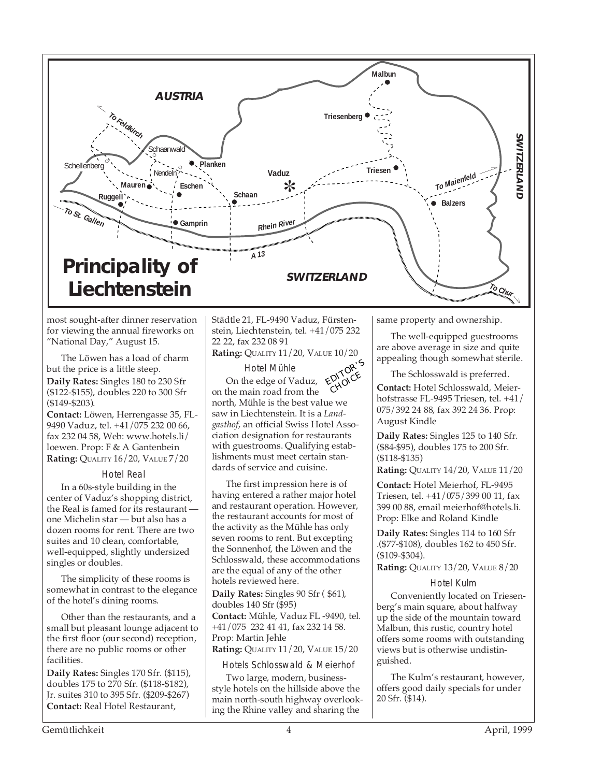

most sought-after dinner reservation for viewing the annual fireworks on "National Day," August 15.

The Löwen has a load of charm but the price is a little steep.

**Daily Rates:** Singles 180 to 230 Sfr (\$122-\$155), doubles 220 to 300 Sfr (\$149-\$203).

**Contact:** Löwen, Herrengasse 35, FL-9490 Vaduz, tel. +41/075 232 00 66, fax 232 04 58, Web: www.hotels.li/ loewen. Prop: F & A Gantenbein **Rating:** QUALITY 16/20, VALUE 7/20

Hotel Real

In a 60s-style building in the center of Vaduz's shopping district, the Real is famed for its restaurant one Michelin star — but also has a dozen rooms for rent. There are two suites and 10 clean, comfortable, well-equipped, slightly undersized singles or doubles.

The simplicity of these rooms is somewhat in contrast to the elegance of the hotel's dining rooms.

Other than the restaurants, and a small but pleasant lounge adjacent to the first floor (our second) reception, there are no public rooms or other facilities.

**Daily Rates:** Singles 170 Sfr. (\$115), doubles 175 to 270 Sfr. (\$118-\$182), Jr. suites 310 to 395 Sfr. (\$209-\$267) **Contact:** Real Hotel Restaurant,

Städtle 21, FL-9490 Vaduz, Fürstenstein, Liechtenstein, tel. +41/075 232 22 22, fax 232 08 91

**Rating:** QUALITY 11/20, VALUE 10/20

Hotel Mühle On the edge of Vaduz, on the main road from the north, Mühle is the best value we saw in Liechtenstein. It is a *Landgasthof*, an official Swiss Hotel Association designation for restaurants with guestrooms. Qualifying establishments must meet certain standards of service and cuisine. EDITOR'<sup>S</sup> CHOICE

The first impression here is of having entered a rather major hotel and restaurant operation. However, the restaurant accounts for most of the activity as the Mühle has only seven rooms to rent. But excepting the Sonnenhof, the Löwen and the Schlosswald, these accommodations are the equal of any of the other hotels reviewed here.

**Daily Rates:** Singles 90 Sfr ( \$61), doubles 140 Sfr (\$95)

**Contact:** Mühle, Vaduz FL -9490, tel. +41/075 232 41 41, fax 232 14 58. Prop: Martin Jehle

**Rating:** QUALITY 11/20, VALUE 15/20

Hotels Schlosswald & Meierhof

Two large, modern, businessstyle hotels on the hillside above the main north-south highway overlooking the Rhine valley and sharing the

same property and ownership.

The well-equipped guestrooms are above average in size and quite appealing though somewhat sterile.

The Schlosswald is preferred. **Contact:** Hotel Schlosswald, Meierhofstrasse FL-9495 Triesen, tel. +41/ 075/392 24 88, fax 392 24 36. Prop: August Kindle

**Daily Rates:** Singles 125 to 140 Sfr. (\$84-\$95), doubles 175 to 200 Sfr. (\$118-\$135)

**Rating:** QUALITY 14/20, VALUE 11/20

**Contact:** Hotel Meierhof, FL-9495 Triesen, tel. +41/075/399 00 11, fax 399 00 88, email meierhof@hotels.li. Prop: Elke and Roland Kindle

**Daily Rates:** Singles 114 to 160 Sfr .(\$77-\$108), doubles 162 to 450 Sfr. (\$109-\$304).

**Rating:** QUALITY 13/20, VALUE 8/20

Hotel Kulm

Conveniently located on Triesenberg's main square, about halfway up the side of the mountain toward Malbun, this rustic, country hotel offers some rooms with outstanding views but is otherwise undistinguished.

The Kulm's restaurant, however, offers good daily specials for under 20 Sfr. (\$14).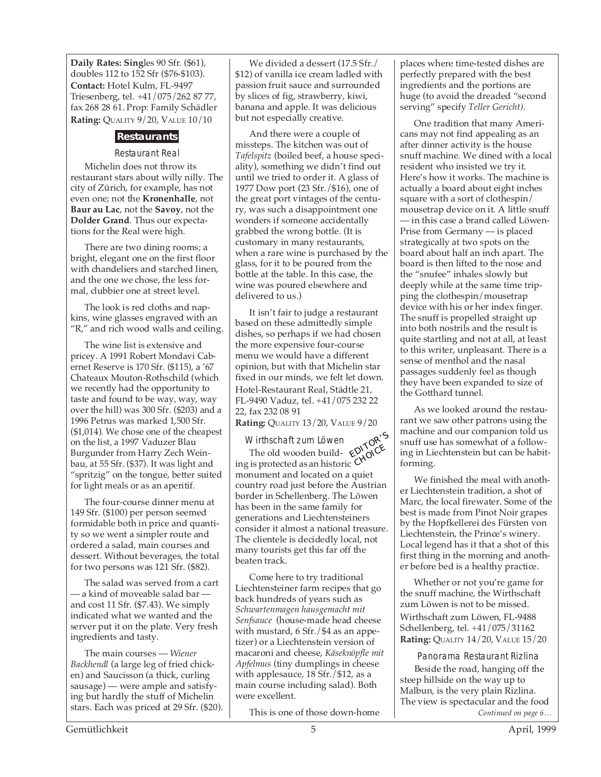**Daily Rates: Sing**les 90 Sfr. (\$61), doubles 112 to 152 Sfr (\$76-\$103). **Contact:** Hotel Kulm, FL-9497 Triesenberg, tel. +41/075/262 87 77, fax 268 28 61. Prop: Family Schädler **Rating: QUALITY 9/20, VALUE 10/10** 

#### **Restaurants**

#### Restaurant Real

Michelin does not throw its restaurant stars about willy nilly. The city of Zürich, for example, has not even one; not the **Kronenhalle**, not **Baur au Lac**, not the **Savoy**, not the **Dolder Grand**. Thus our expectations for the Real were high.

There are two dining rooms; a bright, elegant one on the first floor with chandeliers and starched linen, and the one we chose, the less formal, clubbier one at street level.

The look is red cloths and napkins, wine glasses engraved with an "R," and rich wood walls and ceiling.

The wine list is extensive and pricey. A 1991 Robert Mondavi Cabernet Reserve is 170 Sfr. (\$115), a '67 Chateaux Mouton-Rothschild (which we recently had the opportunity to taste and found to be way, way, way over the hill) was 300 Sfr. (\$203) and a 1996 Petrus was marked 1,500 Sfr. (\$1,014). We chose one of the cheapest on the list, a 1997 Vaduzer Blau Burgunder from Harry Zech Weinbau, at 55 Sfr. (\$37). It was light and "spritzig" on the tongue, better suited for light meals or as an aperitif.

The four-course dinner menu at 149 Sfr. (\$100) per person seemed formidable both in price and quantity so we went a simpler route and ordered a salad, main courses and dessert. Without beverages, the total for two persons was 121 Sfr. (\$82).

The salad was served from a cart — a kind of moveable salad bar and cost 11 Sfr. (\$7.43). We simply indicated what we wanted and the server put it on the plate. Very fresh ingredients and tasty.

The main courses — *Wiener Backhendl* (a large leg of fried chicken) and Saucisson (a thick, curling sausage) — were ample and satisfying but hardly the stuff of Michelin stars. Each was priced at 29 Sfr. (\$20).

We divided a dessert (17.5 Sfr./ \$12) of vanilla ice cream ladled with passion fruit sauce and surrounded by slices of fig, strawberry, kiwi, banana and apple. It was delicious but not especially creative.

And there were a couple of missteps. The kitchen was out of *Tafelspitz* (boiled beef, a house speciality), something we didn't find out until we tried to order it. A glass of 1977 Dow port (23 Sfr./\$16), one of the great port vintages of the century, was such a disappointment one wonders if someone accidentally grabbed the wrong bottle. (It is customary in many restaurants, when a rare wine is purchased by the glass, for it to be poured from the bottle at the table. In this case, the wine was poured elsewhere and delivered to us.)

It isn't fair to judge a restaurant based on these admittedly simple dishes, so perhaps if we had chosen the more expensive four-course menu we would have a different opinion, but with that Michelin star fixed in our minds, we felt let down. Hotel-Restaurant Real, Städtle 21, FL-9490 Vaduz, tel. +41/075 232 22 22, fax 232 08 91

**Rating:** QUALITY 13/20, VALUE 9/20

Wirthschaft zum Löwen Virthschaft zum Löwen<br>The old wooden build- KNOICE ing is protected as an historic monument and located on a quiet country road just before the Austrian border in Schellenberg. The Löwen has been in the same family for generations and Liechtensteiners consider it almost a national treasure. The clientele is decidedly local, not many tourists get this far off the beaten track. **CHOICE** 

Come here to try traditional Liechtensteiner farm recipes that go back hundreds of years such as *Schwartenmagen hausgemacht mit Senfsauce* (house-made head cheese with mustard, 6 Sfr./\$4 as an appetizer) or a Liechtenstein version of macaroni and cheese, *Käseknöpfle mit Apfelmus* (tiny dumplings in cheese with applesauce, 18 Sfr./\$12, as a main course including salad). Both were excellent.

This is one of those down-home

places where time-tested dishes are perfectly prepared with the best ingredients and the portions are huge (to avoid the dreaded "second serving" specify *Teller Gericht)*.

One tradition that many Americans may not find appealing as an after dinner activity is the house snuff machine. We dined with a local resident who insisted we try it. Here's how it works. The machine is actually a board about eight inches square with a sort of clothespin/ mousetrap device on it. A little snuff — in this case a brand called Löwen-Prise from Germany — is placed strategically at two spots on the board about half an inch apart. The board is then lifted to the nose and the "snufee" inhales slowly but deeply while at the same time tripping the clothespin/mousetrap device with his or her index finger. The snuff is propelled straight up into both nostrils and the result is quite startling and not at all, at least to this writer, unpleasant. There is a sense of menthol and the nasal passages suddenly feel as though they have been expanded to size of the Gotthard tunnel.

As we looked around the restaurant we saw other patrons using the machine and our companion told us snuff use has somewhat of a following in Liechtenstein but can be habitforming.

We finished the meal with another Liechtenstein tradition, a shot of Marc, the local firewater. Some of the best is made from Pinot Noir grapes by the Hopfkellerei des Fürsten von Liechtenstein, the Prince's winery. Local legend has it that a shot of this first thing in the morning and another before bed is a healthy practice.

Whether or not you're game for the snuff machine, the Wirthschaft zum Löwen is not to be missed. Wirthschaft zum Löwen, FL-9488 Schellenberg, tel. +41/075/31162 **Rating:** QUALITY 14/20, VALUE 15/20

*Continued on page 6…* Panorama Restaurant Rizlina Beside the road, hanging off the steep hillside on the way up to Malbun, is the very plain Rizlina. The view is spectacular and the food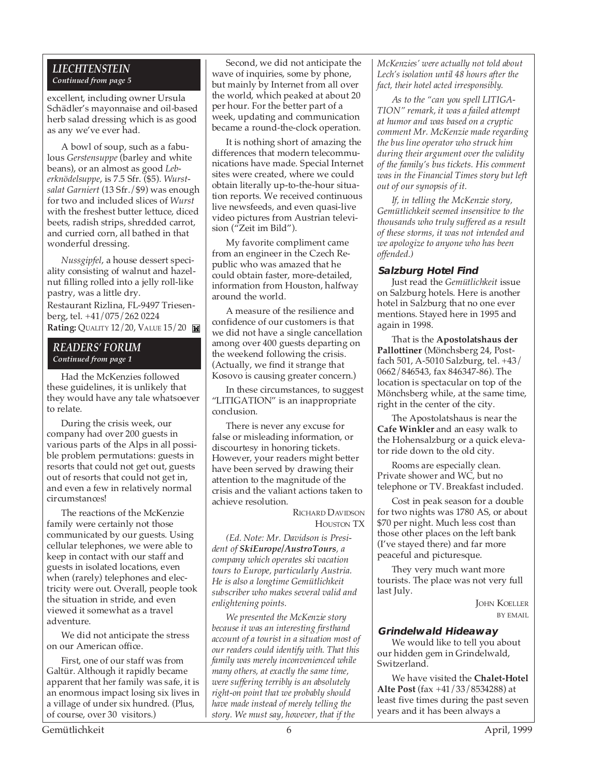#### *LIECHTENSTEIN Continued from page 5*

excellent, including owner Ursula Schädler's mayonnaise and oil-based herb salad dressing which is as good as any we've ever had.

A bowl of soup, such as a fabulous *Gerstensuppe* (barley and white beans), or an almost as good *Leberknödelsuppe*, is 7.5 Sfr. (\$5). *Wurstsalat Garniert* (13 Sfr./\$9) was enough for two and included slices of *Wurst* with the freshest butter lettuce, diced beets, radish strips, shredded carrot, and curried corn, all bathed in that wonderful dressing.

*Nussgipfel*, a house dessert speciality consisting of walnut and hazelnut filling rolled into a jelly roll-like pastry, was a little dry.

Restaurant Rizlina, FL-9497 Triesenberg, tel. +41/075/262 0224 **Rating: QUALITY 12/20, VALUE 15/20** 

#### *READERS' FORUM Continued from page 1*

Had the McKenzies followed these guidelines, it is unlikely that they would have any tale whatsoever to relate.

During the crisis week, our company had over 200 guests in various parts of the Alps in all possible problem permutations: guests in resorts that could not get out, guests out of resorts that could not get in, and even a few in relatively normal circumstances!

The reactions of the McKenzie family were certainly not those communicated by our guests. Using cellular telephones, we were able to keep in contact with our staff and guests in isolated locations, even when (rarely) telephones and electricity were out. Overall, people took the situation in stride, and even viewed it somewhat as a travel adventure.

We did not anticipate the stress on our American office.

First, one of our staff was from Galtür. Although it rapidly became apparent that her family was safe, it is an enormous impact losing six lives in a village of under six hundred. (Plus, of course, over 30 visitors.)

Second, we did not anticipate the wave of inquiries, some by phone, but mainly by Internet from all over the world, which peaked at about 20 per hour. For the better part of a week, updating and communication became a round-the-clock operation.

It is nothing short of amazing the differences that modern telecommunications have made. Special Internet sites were created, where we could obtain literally up-to-the-hour situation reports. We received continuous live newsfeeds, and even quasi-live video pictures from Austrian television ("Zeit im Bild").

My favorite compliment came from an engineer in the Czech Republic who was amazed that he could obtain faster, more-detailed, information from Houston, halfway around the world.

A measure of the resilience and confidence of our customers is that we did not have a single cancellation among over 400 guests departing on the weekend following the crisis. (Actually, we find it strange that Kosovo is causing greater concern.)

In these circumstances, to suggest "LITIGATION" is an inappropriate conclusion.

There is never any excuse for false or misleading information, or discourtesy in honoring tickets. However, your readers might better have been served by drawing their attention to the magnitude of the crisis and the valiant actions taken to achieve resolution.

> RICHARD DAVIDSON HOUSTON TX

*(Ed. Note: Mr. Davidson is President of SkiEurope/AustroTours, a company which operates ski vacation tours to Europe, particularly Austria. He is also a longtime Gemütlichkeit subscriber who makes several valid and enlightening points.*

*We presented the McKenzie story because it was an interesting firsthand account of a tourist in a situation most of our readers could identify with. That this family was merely inconvenienced while many others, at exactly the same time, were suffering terribly is an absolutely right-on point that we probably should have made instead of merely telling the story. We must say, however, that if the*

*McKenzies' were actually not told about Lech's isolation until 48 hours after the fact, their hotel acted irresponsibly.*

*As to the "can you spell LITIGA-TION" remark, it was a failed attempt at humor and was based on a cryptic comment Mr. McKenzie made regarding the bus line operator who struck him during their argument over the validity of the family's bus tickets. His comment was in the Financial Times story but left out of our synopsis of it.*

*If, in telling the McKenzie story, Gemütlichkeit seemed insensitive to the thousands who truly suffered as a result of these storms, it was not intended and we apologize to anyone who has been offended.)*

#### **Salzburg Hotel Find**

Just read the *Gemütlichkeit* issue on Salzburg hotels. Here is another hotel in Salzburg that no one ever mentions. Stayed here in 1995 and again in 1998.

That is the **Apostolatshaus der Pallottiner** (Mönchsberg 24, Postfach 501, A-5010 Salzburg, tel. +43/ 0662/846543, fax 846347-86). The location is spectacular on top of the Mönchsberg while, at the same time, right in the center of the city.

The Apostolatshaus is near the **Cafe Winkler** and an easy walk to the Hohensalzburg or a quick elevator ride down to the old city.

Rooms are especially clean. Private shower and WC, but no telephone or TV. Breakfast included.

Cost in peak season for a double for two nights was 1780 AS, or about \$70 per night. Much less cost than those other places on the left bank (I've stayed there) and far more peaceful and picturesque.

They very much want more tourists. The place was not very full last July.

> JOHN KOELLER BY EMAIL

#### **Grindelwald Hideaway**

We would like to tell you about our hidden gem in Grindelwald, Switzerland.

We have visited the **Chalet-Hotel Alte Post** (fax +41/33/8534288) at least five times during the past seven years and it has been always a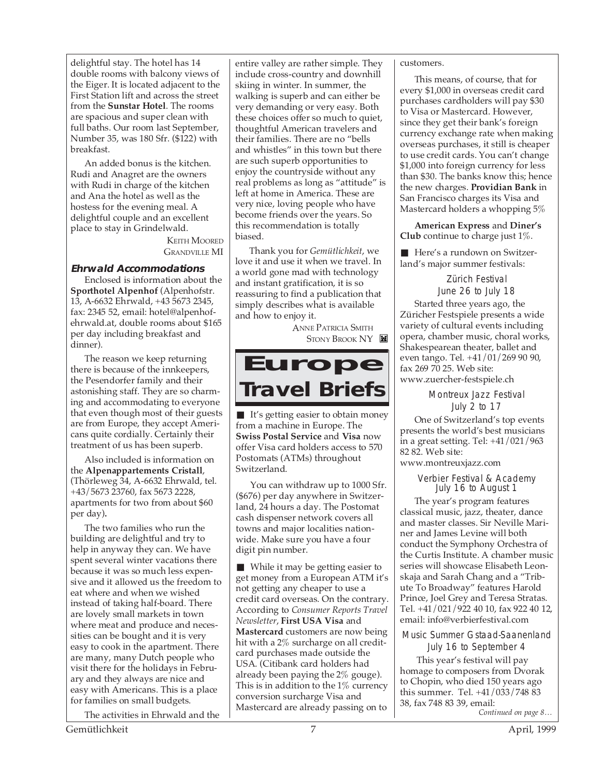delightful stay. The hotel has 14 double rooms with balcony views of the Eiger. It is located adjacent to the First Station lift and across the street from the **Sunstar Hotel**. The rooms are spacious and super clean with full baths. Our room last September, Number 35, was 180 Sfr. (\$122) with breakfast.

An added bonus is the kitchen. Rudi and Anagret are the owners with Rudi in charge of the kitchen and Ana the hotel as well as the hostess for the evening meal. A delightful couple and an excellent place to stay in Grindelwald.

> KEITH MOORED GRANDVILLE MI

#### **Ehrwald Accommodations**

Enclosed is information about the **Sporthotel Alpenhof (Alpenhofstr.** 13, A-6632 Ehrwald, +43 5673 2345, fax: 2345 52, email: hotel@alpenhofehrwald.at, double rooms about \$165 per day including breakfast and dinner).

The reason we keep returning there is because of the innkeepers, the Pesendorfer family and their astonishing staff. They are so charming and accommodating to everyone that even though most of their guests are from Europe, they accept Americans quite cordially. Certainly their treatment of us has been superb.

Also included is information on the **Alpenappartements Cristall**, (Thörleweg 34, A-6632 Ehrwald, tel. +43/5673 23760, fax 5673 2228, apartments for two from about \$60 per day)**.**

The two families who run the building are delightful and try to help in anyway they can. We have spent several winter vacations there because it was so much less expensive and it allowed us the freedom to eat where and when we wished instead of taking half-board. There are lovely small markets in town where meat and produce and necessities can be bought and it is very easy to cook in the apartment. There are many, many Dutch people who visit there for the holidays in February and they always are nice and easy with Americans. This is a place for families on small budgets.

The activities in Ehrwald and the

entire valley are rather simple. They include cross-country and downhill skiing in winter. In summer, the walking is superb and can either be very demanding or very easy. Both these choices offer so much to quiet, thoughtful American travelers and their families. There are no "bells and whistles" in this town but there are such superb opportunities to enjoy the countryside without any real problems as long as "attitude" is left at home in America. These are very nice, loving people who have become friends over the years. So this recommendation is totally biased.

Thank you for *Gemütlichkeit*, we love it and use it when we travel. In a world gone mad with technology and instant gratification, it is so reassuring to find a publication that simply describes what is available and how to enjoy it.

> ANNE PATRICIA SMITH STONY BROOK NY

### **Europe Travel Briefs**

■ It's getting easier to obtain money from a machine in Europe. The **Swiss Postal Service** and **Visa** now offer Visa card holders access to 570 Postomats (ATMs) throughout Switzerland.

You can withdraw up to 1000 Sfr. (\$676) per day anywhere in Switzerland, 24 hours a day. The Postomat cash dispenser network covers all towns and major localities nationwide. Make sure you have a four digit pin number.

■ While it may be getting easier to get money from a European ATM it's not getting any cheaper to use a credit card overseas. On the contrary. According to *Consumer Reports Travel Newsletter*, **First USA Visa** and **Mastercard** customers are now being hit with a 2% surcharge on all creditcard purchases made outside the USA. (Citibank card holders had already been paying the 2% gouge). This is in addition to the  $1\%$  currency conversion surcharge Visa and Mastercard are already passing on to

customers.

This means, of course, that for every \$1,000 in overseas credit card purchases cardholders will pay \$30 to Visa or Mastercard. However, since they get their bank's foreign currency exchange rate when making overseas purchases, it still is cheaper to use credit cards. You can't change \$1,000 into foreign currency for less than \$30. The banks know this; hence the new charges. **Providian Bank** in San Francisco charges its Visa and Mastercard holders a whopping 5%

**American Express** and **Diner's Club** continue to charge just 1%.

■ Here's a rundown on Switzerland's major summer festivals:

> Zürich Festival June 26 to July 18

Started three years ago, the Züricher Festspiele presents a wide variety of cultural events including opera, chamber music, choral works, Shakespearean theater, ballet and even tango. Tel. +41/01/269 90 90, fax 269 70 25. Web site: www.zuercher-festspiele.ch

Montreux Jazz Festival

July 2 to 17 One of Switzerland's top events presents the world's best musicians in a great setting. Tel: +41/021/963 82 82. Web site: www.montreuxjazz.com

Verbier Festival & Academy

July 16 to August 1

The year's program features classical music, jazz, theater, dance and master classes. Sir Neville Mariner and James Levine will both conduct the Symphony Orchestra of the Curtis Institute. A chamber music series will showcase Elisabeth Leonskaja and Sarah Chang and a "Tribute To Broadway" features Harold Prince, Joel Grey and Teresa Stratas. Tel. +41/021/922 40 10, fax 922 40 12, email: info@verbierfestival.com

Music Summer Gstaad-Saanenland July 16 to September 4

*Continued on page 8…* This year's festival will pay homage to composers from Dvorak to Chopin, who died 150 years ago this summer. Tel. +41/033/748 83 38, fax 748 83 39, email: